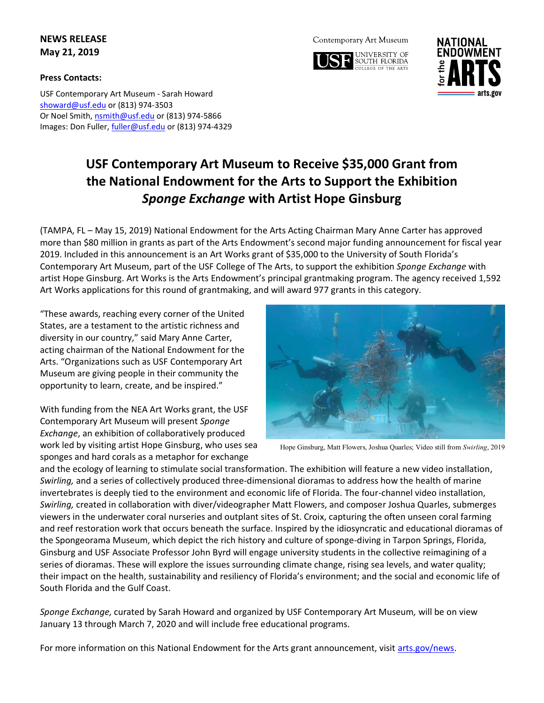## **NEWS RELEASE May 21, 2019**

### **Press Contacts:**

USF Contemporary Art Museum - Sarah Howard [showard@usf.edu](mailto:showard@usf.edu) or (813) 974-3503 Or Noel Smith, [nsmith@usf.edu](mailto:nsmith@usf.edu) or (813) 974-5866 Images: Don Fuller[, fuller@usf.edu](mailto:fuller@usf.edu) or (813) 974-4329

#### Contemporary Art Museum





# **USF Contemporary Art Museum to Receive \$35,000 Grant from the National Endowment for the Arts to Support the Exhibition**  *Sponge Exchange* **with Artist Hope Ginsburg**

(TAMPA, FL – May 15, 2019) National Endowment for the Arts Acting Chairman Mary Anne Carter has approved more than \$80 million in grants as part of the Arts Endowment's second major funding announcement for fiscal year 2019. Included in this announcement is an Art Works grant of \$35,000 to the University of South Florida's Contemporary Art Museum, part of the USF College of The Arts, to support the exhibition *Sponge Exchange* with artist Hope Ginsburg. Art Works is the Arts Endowment's principal grantmaking program. The agency received 1,592 Art Works applications for this round of grantmaking, and will award 977 grants in this category.

"These awards, reaching every corner of the United States, are a testament to the artistic richness and diversity in our country," said Mary Anne Carter, acting chairman of the National Endowment for the Arts. "Organizations such as USF Contemporary Art Museum are giving people in their community the opportunity to learn, create, and be inspired."

With funding from the NEA Art Works grant, the USF Contemporary Art Museum will present *Sponge Exchange*, an exhibition of collaboratively produced work led by visiting artist Hope Ginsburg, who uses sea sponges and hard corals as a metaphor for exchange



Hope Ginsburg, Matt Flowers, Joshua Quarles; Video still from *Swirling*, 2019

and the ecology of learning to stimulate social transformation. The exhibition will feature a new video installation, *Swirling,* and a series of collectively produced three-dimensional dioramas to address how the health of marine invertebrates is deeply tied to the environment and economic life of Florida. The four-channel video installation, *Swirling,* created in collaboration with diver/videographer Matt Flowers, and composer Joshua Quarles, submerges viewers in the underwater coral nurseries and outplant sites of St. Croix, capturing the often unseen coral farming and reef restoration work that occurs beneath the surface. Inspired by the idiosyncratic and educational dioramas of the Spongeorama Museum, which depict the rich history and culture of sponge-diving in Tarpon Springs, Florida, Ginsburg and USF Associate Professor John Byrd will engage university students in the collective reimagining of a series of dioramas. These will explore the issues surrounding climate change, rising sea levels, and water quality; their impact on the health, sustainability and resiliency of Florida's environment; and the social and economic life of South Florida and the Gulf Coast.

*Sponge Exchange,* curated by Sarah Howard and organized by USF Contemporary Art Museum*,* will be on view January 13 through March 7, 2020 and will include free educational programs.

For more information on this National Endowment for the Arts grant announcement, visit [arts.gov/news.](https://www.arts.gov/news)